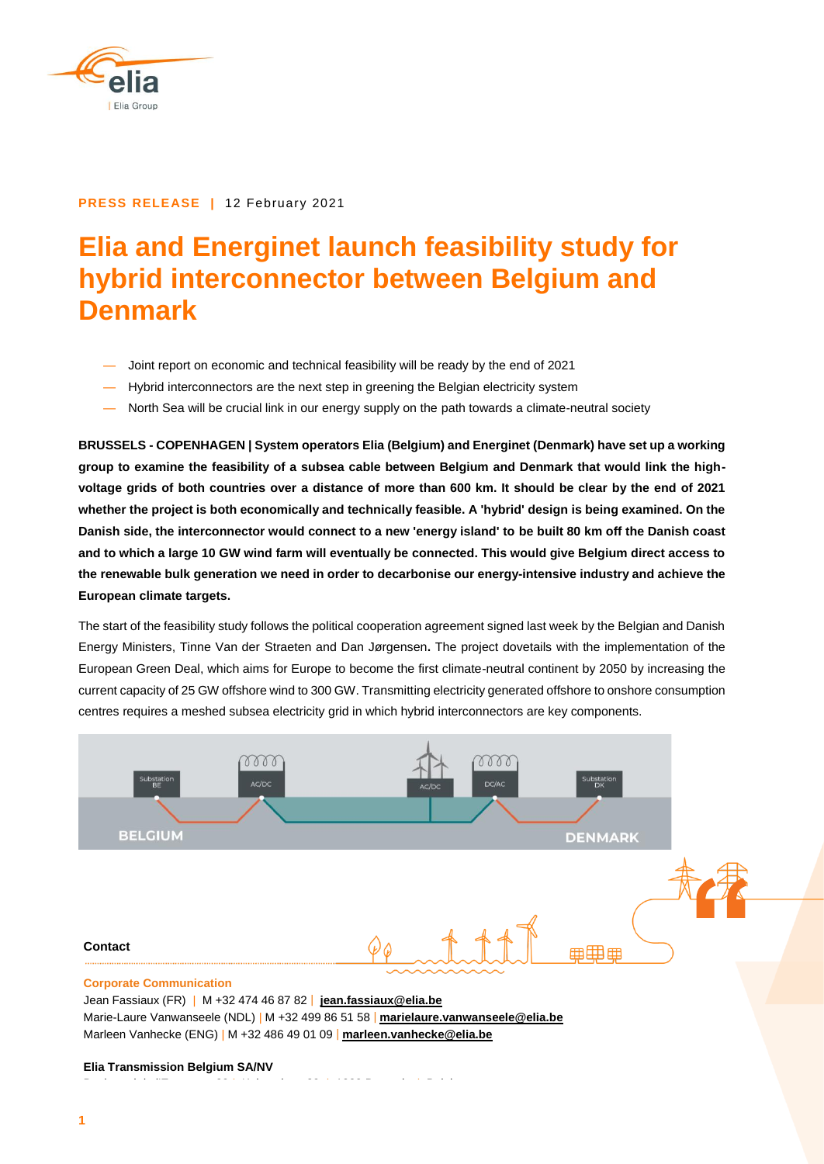

#### **PRESS RELEASE |** 12 February 2021

# **Elia and Energinet launch feasibility study for hybrid interconnector between Belgium and Denmark**

- Joint report on economic and technical feasibility will be ready by the end of 2021
- Hybrid interconnectors are the next step in greening the Belgian electricity system
- North Sea will be crucial link in our energy supply on the path towards a climate-neutral society

**BRUSSELS - COPENHAGEN | System operators Elia (Belgium) and Energinet (Denmark) have set up a working group to examine the feasibility of a subsea cable between Belgium and Denmark that would link the highvoltage grids of both countries over a distance of more than 600 km. It should be clear by the end of 2021 whether the project is both economically and technically feasible. A 'hybrid' design is being examined. On the Danish side, the interconnector would connect to a new 'energy island' to be built 80 km off the Danish coast and to which a large 10 GW wind farm will eventually be connected. This would give Belgium direct access to the renewable bulk generation we need in order to decarbonise our energy-intensive industry and achieve the European climate targets.** 

The start of the feasibility study follows the political cooperation agreement signed last week by the Belgian and Danish Energy Ministers, Tinne Van der Straeten and Dan Jørgensen**.** The project dovetails with the implementation of the European Green Deal, which aims for Europe to become the first climate-neutral continent by 2050 by increasing the current capacity of 25 GW offshore wind to 300 GW. Transmitting electricity generated offshore to onshore consumption centres requires a meshed subsea electricity grid in which hybrid interconnectors are key components.



Jean Fassiaux (FR) | M +32 474 46 87 82 | **[jean.fassiaux@elia.be](mailto:jean.fassiaux@elia.be)** Marie-Laure Vanwanseele (NDL) | M +32 499 86 51 58 | **marielaure.vanwanseele@elia.be** Marleen Vanhecke (ENG) | M +32 486 49 01 09 | **marleen.vanhecke@elia.be**

#### **Elia Transmission Belgium SA/NV**

Boulevard de l'Empereur 20 | Keizerslaan 20 | 1000 Brussels | Belgium 20 | 1000 Brussels | 1000 Brussels | Bel<br>Belgium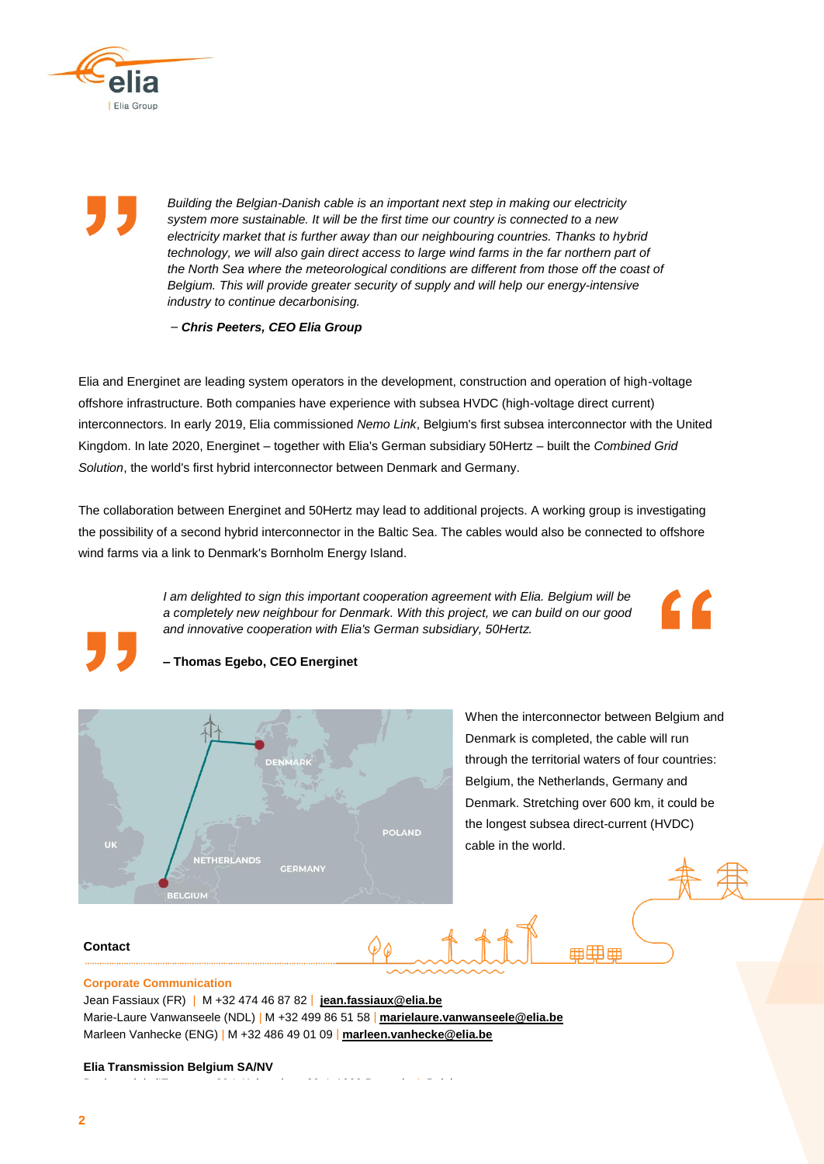

*Building the Belgian-Danish cable is an important next step in making our electricity system more sustainable. It will be the first time our country is connected to a new electricity market that is further away than our neighbouring countries. Thanks to hybrid technology, we will also gain direct access to large wind farms in the far northern part of the North Sea where the meteorological conditions are different from those off the coast of Belgium. This will provide greater security of supply and will help our energy-intensive industry to continue decarbonising.*

*– Chris Peeters, CEO Elia Group*

Elia and Energinet are leading system operators in the development, construction and operation of high-voltage offshore infrastructure. Both companies have experience with subsea HVDC (high-voltage direct current) interconnectors. In early 2019, Elia commissioned *Nemo Link*, Belgium's first subsea interconnector with the United Kingdom. In late 2020, Energinet – together with Elia's German subsidiary 50Hertz – built the *Combined Grid Solution*, the world's first hybrid interconnector between Denmark and Germany.

The collaboration between Energinet and 50Hertz may lead to additional projects. A working group is investigating the possibility of a second hybrid interconnector in the Baltic Sea. The cables would also be connected to offshore wind farms via a link to Denmark's Bornholm Energy Island.

> *I am delighted to sign this important cooperation agreement with Elia. Belgium will be a completely new neighbour for Denmark. With this project, we can build on our good and innovative cooperation with Elia's German subsidiary, 50Hertz.*



**– Thomas Egebo, CEO Energinet**



When the interconnector between Belgium and Denmark is completed, the cable will run through the territorial waters of four countries: Belgium, the Netherlands, Germany and Denmark. Stretching over 600 km, it could be the longest subsea direct-current (HVDC) cable in the world.

⊞用曲

# **Contact**

## **Corporate Communication**

Jean Fassiaux (FR) | M +32 474 46 87 82 | **[jean.fassiaux@elia.be](mailto:jean.fassiaux@elia.be)** Marie-Laure Vanwanseele (NDL) | M +32 499 86 51 58 | **marielaure.vanwanseele@elia.be** Marleen Vanhecke (ENG) | M +32 486 49 01 09 | **marleen.vanhecke@elia.be**

#### **Elia Transmission Belgium SA/NV**

Boulevard de l'Empereur 20 | Keizerslaan 20 | 1000 Brussels | Belgium 20 | 1000 Brussels | 1000 Brussels | Bel<br>Belgium